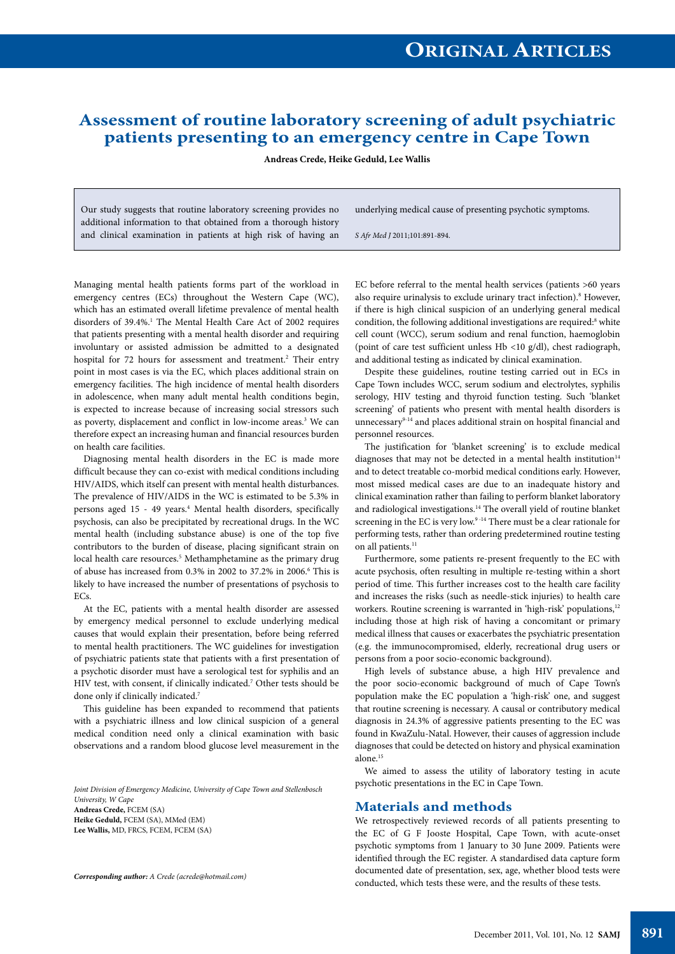# **Assessment of routine laboratory screening of adult psychiatric patients presenting to an emergency centre in Cape Town**

**Andreas Crede, Heike Geduld, Lee Wallis**

Our study suggests that routine laboratory screening provides no additional information to that obtained from a thorough history and clinical examination in patients at high risk of having an underlying medical cause of presenting psychotic symptoms.

*S Afr Med J* 2011;101:891-894.

Managing mental health patients forms part of the workload in emergency centres (ECs) throughout the Western Cape (WC), which has an estimated overall lifetime prevalence of mental health disorders of 39.4%.<sup>1</sup> The Mental Health Care Act of 2002 requires that patients presenting with a mental health disorder and requiring involuntary or assisted admission be admitted to a designated hospital for 72 hours for assessment and treatment.<sup>2</sup> Their entry point in most cases is via the EC, which places additional strain on emergency facilities. The high incidence of mental health disorders in adolescence, when many adult mental health conditions begin, is expected to increase because of increasing social stressors such as poverty, displacement and conflict in low-income areas.<sup>3</sup> We can therefore expect an increasing human and financial resources burden on health care facilities.

Diagnosing mental health disorders in the EC is made more difficult because they can co-exist with medical conditions including HIV/AIDS, which itself can present with mental health disturbances. The prevalence of HIV/AIDS in the WC is estimated to be 5.3% in persons aged 15 - 49 years.<sup>4</sup> Mental health disorders, specifically psychosis, can also be precipitated by recreational drugs. In the WC mental health (including substance abuse) is one of the top five contributors to the burden of disease, placing significant strain on local health care resources.<sup>5</sup> Methamphetamine as the primary drug of abuse has increased from 0.3% in 2002 to 37.2% in 2006.<sup>6</sup> This is likely to have increased the number of presentations of psychosis to ECs.

At the EC, patients with a mental health disorder are assessed by emergency medical personnel to exclude underlying medical causes that would explain their presentation, before being referred to mental health practitioners. The WC guidelines for investigation of psychiatric patients state that patients with a first presentation of a psychotic disorder must have a serological test for syphilis and an HIV test, with consent, if clinically indicated.<sup>7</sup> Other tests should be done only if clinically indicated.<sup>7</sup>

This guideline has been expanded to recommend that patients with a psychiatric illness and low clinical suspicion of a general medical condition need only a clinical examination with basic observations and a random blood glucose level measurement in the

*Joint Division of Emergency Medicine, University of Cape Town and Stellenbosch University, W Cape* **Andreas Crede,** FCEM (SA) **Heike Geduld,** FCEM (SA), MMed (EM) **Lee Wallis,** MD, FRCS, FCEM, FCEM (SA)

*Corresponding author: A Crede (acrede@hotmail.com)*

EC before referral to the mental health services (patients >60 years also require urinalysis to exclude urinary tract infection).<sup>8</sup> However, if there is high clinical suspicion of an underlying general medical condition, the following additional investigations are required:<sup>8</sup> white cell count (WCC), serum sodium and renal function, haemoglobin (point of care test sufficient unless Hb <10 g/dl), chest radiograph, and additional testing as indicated by clinical examination.

Despite these guidelines, routine testing carried out in ECs in Cape Town includes WCC, serum sodium and electrolytes, syphilis serology, HIV testing and thyroid function testing. Such 'blanket screening' of patients who present with mental health disorders is unnecessary<sup>9-14</sup> and places additional strain on hospital financial and personnel resources.

The justification for 'blanket screening' is to exclude medical diagnoses that may not be detected in a mental health institution<sup>14</sup> and to detect treatable co-morbid medical conditions early. However, most missed medical cases are due to an inadequate history and clinical examination rather than failing to perform blanket laboratory and radiological investigations.14 The overall yield of routine blanket screening in the EC is very low.<sup>9-14</sup> There must be a clear rationale for performing tests, rather than ordering predetermined routine testing on all patients.<sup>11</sup>

Furthermore, some patients re-present frequently to the EC with acute psychosis, often resulting in multiple re-testing within a short period of time. This further increases cost to the health care facility and increases the risks (such as needle-stick injuries) to health care workers. Routine screening is warranted in 'high-risk' populations,<sup>12</sup> including those at high risk of having a concomitant or primary medical illness that causes or exacerbates the psychiatric presentation (e.g. the immunocompromised, elderly, recreational drug users or persons from a poor socio-economic background).

High levels of substance abuse, a high HIV prevalence and the poor socio-economic background of much of Cape Town's population make the EC population a 'high-risk' one, and suggest that routine screening is necessary. A causal or contributory medical diagnosis in 24.3% of aggressive patients presenting to the EC was found in KwaZulu-Natal. However, their causes of aggression include diagnoses that could be detected on history and physical examination alone.15

We aimed to assess the utility of laboratory testing in acute psychotic presentations in the EC in Cape Town.

#### **Materials and methods**

We retrospectively reviewed records of all patients presenting to the EC of G F Jooste Hospital, Cape Town, with acute-onset psychotic symptoms from 1 January to 30 June 2009. Patients were identified through the EC register. A standardised data capture form documented date of presentation, sex, age, whether blood tests were conducted, which tests these were, and the results of these tests.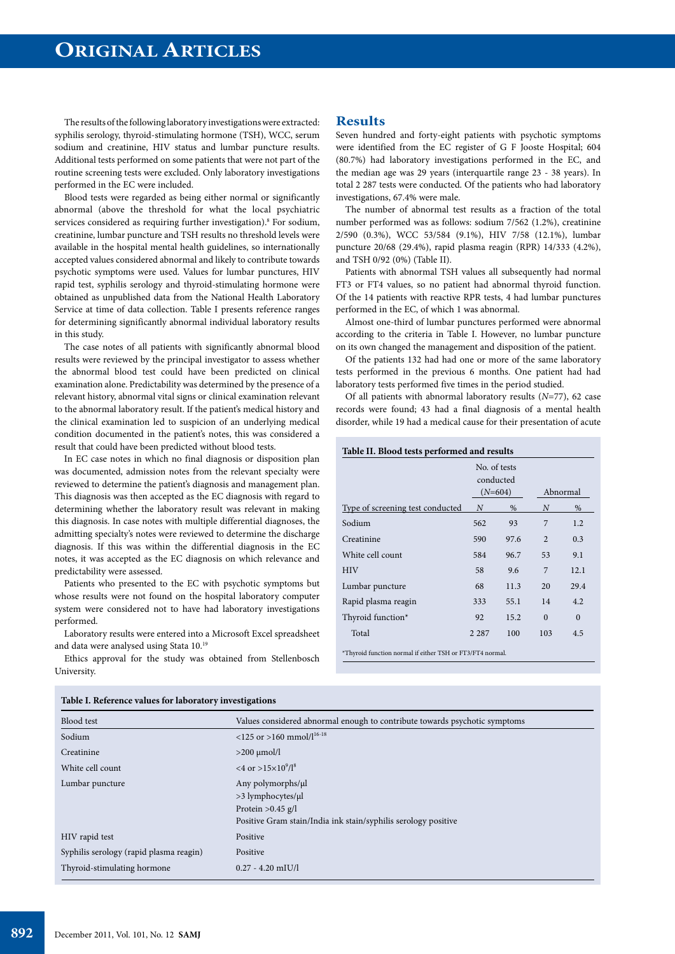The results of the following laboratory investigations were extracted: syphilis serology, thyroid-stimulating hormone (TSH), WCC, serum sodium and creatinine, HIV status and lumbar puncture results. Additional tests performed on some patients that were not part of the routine screening tests were excluded. Only laboratory investigations performed in the EC were included.

Blood tests were regarded as being either normal or significantly abnormal (above the threshold for what the local psychiatric services considered as requiring further investigation).<sup>8</sup> For sodium, creatinine, lumbar puncture and TSH results no threshold levels were available in the hospital mental health guidelines, so internationally accepted values considered abnormal and likely to contribute towards psychotic symptoms were used. Values for lumbar punctures, HIV rapid test, syphilis serology and thyroid-stimulating hormone were obtained as unpublished data from the National Health Laboratory Service at time of data collection. Table I presents reference ranges for determining significantly abnormal individual laboratory results in this study.

The case notes of all patients with significantly abnormal blood results were reviewed by the principal investigator to assess whether the abnormal blood test could have been predicted on clinical examination alone. Predictability was determined by the presence of a relevant history, abnormal vital signs or clinical examination relevant to the abnormal laboratory result. If the patient's medical history and the clinical examination led to suspicion of an underlying medical condition documented in the patient's notes, this was considered a result that could have been predicted without blood tests.

In EC case notes in which no final diagnosis or disposition plan was documented, admission notes from the relevant specialty were reviewed to determine the patient's diagnosis and management plan. This diagnosis was then accepted as the EC diagnosis with regard to determining whether the laboratory result was relevant in making this diagnosis. In case notes with multiple differential diagnoses, the admitting specialty's notes were reviewed to determine the discharge diagnosis. If this was within the differential diagnosis in the EC notes, it was accepted as the EC diagnosis on which relevance and predictability were assessed.

Patients who presented to the EC with psychotic symptoms but whose results were not found on the hospital laboratory computer system were considered not to have had laboratory investigations performed.

Laboratory results were entered into a Microsoft Excel spreadsheet and data were analysed using Stata 10.19

Ethics approval for the study was obtained from Stellenbosch University.

## **Results**

Seven hundred and forty-eight patients with psychotic symptoms were identified from the EC register of G F Jooste Hospital; 604 (80.7%) had laboratory investigations performed in the EC, and the median age was 29 years (interquartile range 23 - 38 years). In total 2 287 tests were conducted. Of the patients who had laboratory investigations, 67.4% were male.

The number of abnormal test results as a fraction of the total number performed was as follows: sodium 7/562 (1.2%), creatinine 2/590 (0.3%), WCC 53/584 (9.1%), HIV 7/58 (12.1%), lumbar puncture 20/68 (29.4%), rapid plasma reagin (RPR) 14/333 (4.2%), and TSH 0/92 (0%) (Table II).

Patients with abnormal TSH values all subsequently had normal FT3 or FT4 values, so no patient had abnormal thyroid function. Of the 14 patients with reactive RPR tests, 4 had lumbar punctures performed in the EC, of which 1 was abnormal.

Almost one-third of lumbar punctures performed were abnormal according to the criteria in Table I. However, no lumbar puncture on its own changed the management and disposition of the patient.

Of the patients 132 had had one or more of the same laboratory tests performed in the previous 6 months. One patient had had laboratory tests performed five times in the period studied.

Of all patients with abnormal laboratory results (*N*=77), 62 case records were found; 43 had a final diagnosis of a mental health disorder, while 19 had a medical cause for their presentation of acute

#### **Table II. Blood tests performed and results**

|                                                           |         | No. of tests<br>conducted<br>Abnormal<br>$(N=604)$ |                |          |
|-----------------------------------------------------------|---------|----------------------------------------------------|----------------|----------|
| Type of screening test conducted                          | N       | %                                                  | Ν              | %        |
| Sodium                                                    | 562     | 93                                                 | 7              | 1.2      |
| Creatinine                                                | 590     | 97.6                                               | $\mathfrak{D}$ | 0.3      |
| White cell count                                          | 584     | 96.7                                               | 53             | 9.1      |
| <b>HIV</b>                                                | 58      | 9.6                                                | 7              | 12.1     |
| Lumbar puncture                                           | 68      | 11.3                                               | 20             | 29.4     |
| Rapid plasma reagin                                       | 333     | 55.1                                               | 14             | 4.2      |
| Thyroid function*                                         | 92      | 15.2                                               | $\Omega$       | $\Omega$ |
| Total                                                     | 2 2 8 7 | 100                                                | 103            | 4.5      |
| *Thyroid function normal if either TSH or FT3/FT4 normal. |         |                                                    |                |          |

| Blood test                              | Values considered abnormal enough to contribute towards psychotic symptoms                                                      |
|-----------------------------------------|---------------------------------------------------------------------------------------------------------------------------------|
| Sodium                                  | <125 or >160 mmol/ $l^{16-18}$                                                                                                  |
| Creatinine                              | $>200$ $\mu$ mol/l                                                                                                              |
| White cell count                        | $<$ 4 or >15 $\times$ 10 <sup>9</sup> /1 <sup>8</sup>                                                                           |
| Lumbar puncture                         | Any polymorphs/µl<br>>3 lymphocytes/µl<br>Protein $>0.45$ g/l<br>Positive Gram stain/India ink stain/syphilis serology positive |
| HIV rapid test                          | Positive                                                                                                                        |
| Syphilis serology (rapid plasma reagin) | Positive                                                                                                                        |
| Thyroid-stimulating hormone             | $0.27 - 4.20$ mIU/l                                                                                                             |

**Table I. Reference values for laboratory investigations**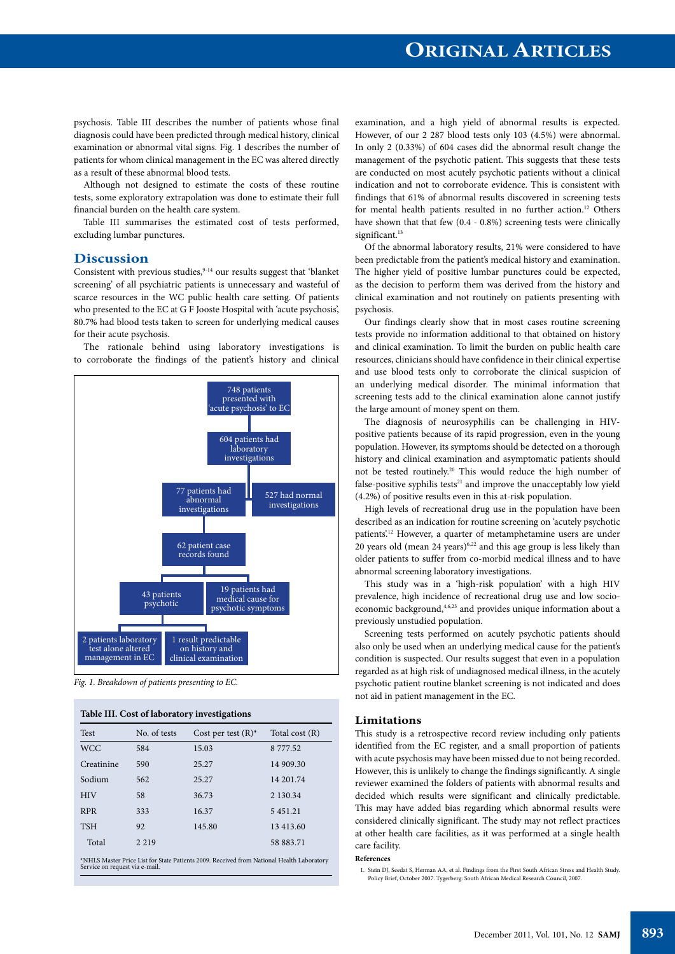psychosis. Table III describes the number of patients whose final diagnosis could have been predicted through medical history, clinical examination or abnormal vital signs. Fig. 1 describes the number of patients for whom clinical management in the EC was altered directly as a result of these abnormal blood tests.

Although not designed to estimate the costs of these routine tests, some exploratory extrapolation was done to estimate their full financial burden on the health care system.

Table III summarises the estimated cost of tests performed, excluding lumbar punctures.

## **Discussion**

Consistent with previous studies,  $9-14$  our results suggest that 'blanket screening' of all psychiatric patients is unnecessary and wasteful of scarce resources in the WC public health care setting. Of patients who presented to the EC at G F Jooste Hospital with 'acute psychosis', 80.7% had blood tests taken to screen for underlying medical causes for their acute psychosis.

The rationale behind using laboratory investigations is to corroborate the findings of the patient's history and clinical



*Fig. 1. Breakdown of patients presenting to EC.*

| <b>Test</b> | No. of tests | Cost per test $(R)^*$ | Total cost (R) |
|-------------|--------------|-----------------------|----------------|
| <b>WCC</b>  | 584          | 15.03                 | 8777.52        |
| Creatinine  | 590          | 25.27                 | 14 909.30      |
| Sodium      | 562          | 25.27                 | 14 201.74      |
| <b>HIV</b>  | 58           | 36.73                 | 2 130.34       |
| <b>RPR</b>  | 333          | 16.37                 | 5451.21        |
| <b>TSH</b>  | 92           | 145.80                | 13 413.60      |
| Total       | 2 2 1 9      |                       | 58 883.71      |

examination, and a high yield of abnormal results is expected. However, of our 2 287 blood tests only 103 (4.5%) were abnormal. In only 2 (0.33%) of 604 cases did the abnormal result change the management of the psychotic patient. This suggests that these tests are conducted on most acutely psychotic patients without a clinical indication and not to corroborate evidence. This is consistent with findings that 61% of abnormal results discovered in screening tests for mental health patients resulted in no further action.<sup>12</sup> Others have shown that that few (0.4 - 0.8%) screening tests were clinically significant.<sup>13</sup>

Of the abnormal laboratory results, 21% were considered to have been predictable from the patient's medical history and examination. The higher yield of positive lumbar punctures could be expected, as the decision to perform them was derived from the history and clinical examination and not routinely on patients presenting with psychosis.

Our findings clearly show that in most cases routine screening tests provide no information additional to that obtained on history and clinical examination. To limit the burden on public health care resources, clinicians should have confidence in their clinical expertise and use blood tests only to corroborate the clinical suspicion of an underlying medical disorder. The minimal information that screening tests add to the clinical examination alone cannot justify the large amount of money spent on them.

The diagnosis of neurosyphilis can be challenging in HIVpositive patients because of its rapid progression, even in the young population. However, its symptoms should be detected on a thorough history and clinical examination and asymptomatic patients should not be tested routinely.20 This would reduce the high number of false-positive syphilis tests $21$  and improve the unacceptably low yield (4.2%) of positive results even in this at-risk population.

High levels of recreational drug use in the population have been described as an indication for routine screening on 'acutely psychotic patients.<sup>12</sup> However, a quarter of metamphetamine users are under 20 years old (mean 24 years) $6,22$  and this age group is less likely than older patients to suffer from co-morbid medical illness and to have abnormal screening laboratory investigations.

This study was in a 'high-risk population' with a high HIV prevalence, high incidence of recreational drug use and low socioeconomic background,<sup>4,6,23</sup> and provides unique information about a previously unstudied population.

Screening tests performed on acutely psychotic patients should also only be used when an underlying medical cause for the patient's condition is suspected. Our results suggest that even in a population regarded as at high risk of undiagnosed medical illness, in the acutely psychotic patient routine blanket screening is not indicated and does not aid in patient management in the EC.

### **Limitations**

This study is a retrospective record review including only patients identified from the EC register, and a small proportion of patients with acute psychosis may have been missed due to not being recorded. However, this is unlikely to change the findings significantly. A single reviewer examined the folders of patients with abnormal results and decided which results were significant and clinically predictable. This may have added bias regarding which abnormal results were considered clinically significant. The study may not reflect practices at other health care facilities, as it was performed at a single health care facility.

#### **References**

1. Stein DJ, Seedat S, Herman AA, et al. Findings from the First South African Stress and Health Study. Policy Brief, October 2007. Tygerberg: South African Medical Research Council, 2007.